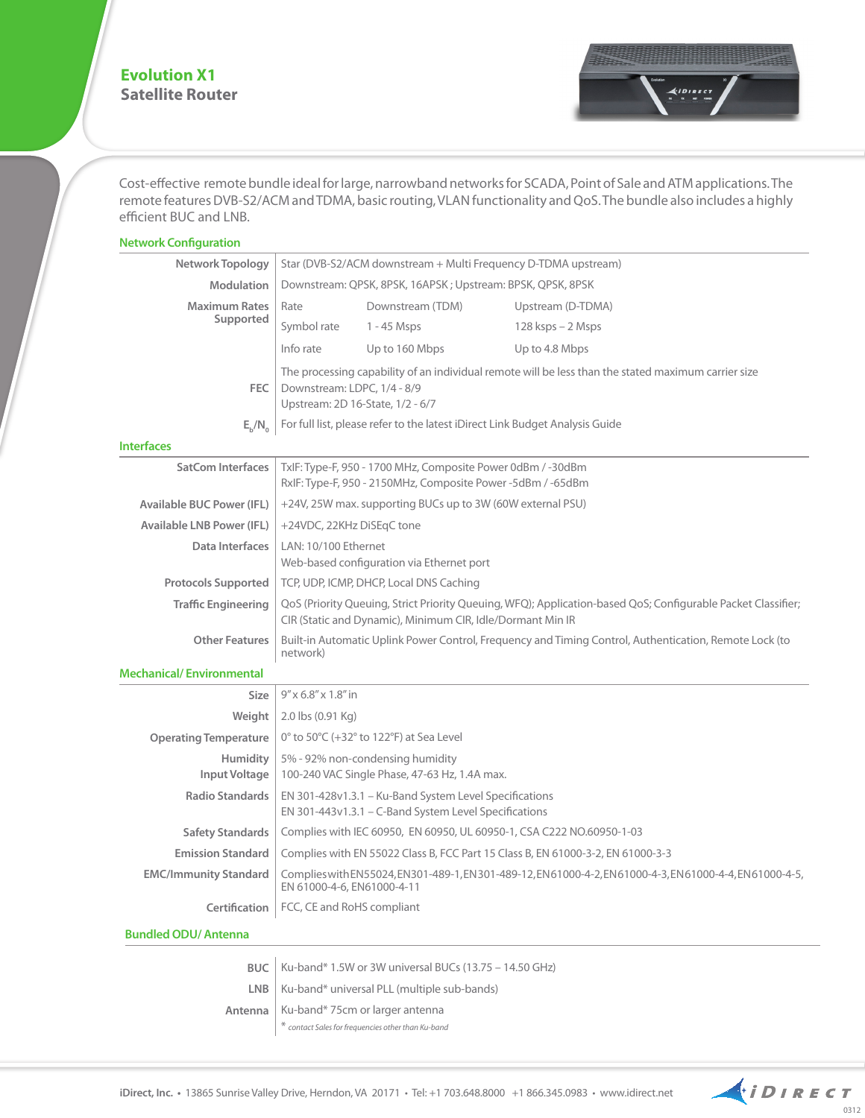## **Evolution X1 Satellite Router**



Cost-effective remote bundle ideal for large, narrowband networks for SCADA, Point of Sale and ATM applications. The remote features DVB-S2/ACM and TDMA, basic routing, VLAN functionality and QoS. The bundle also includes a highly efficient BUC and LNB.

## **Network Configuration**

| <b>Network Topology</b>          | Star (DVB-S2/ACM downstream + Multi Frequency D-TDMA upstream)                                                                                                             |                  |                      |  |
|----------------------------------|----------------------------------------------------------------------------------------------------------------------------------------------------------------------------|------------------|----------------------|--|
| <b>Modulation</b>                | Downstream: QPSK, 8PSK, 16APSK; Upstream: BPSK, QPSK, 8PSK                                                                                                                 |                  |                      |  |
| <b>Maximum Rates</b>             | Rate                                                                                                                                                                       | Downstream (TDM) | Upstream (D-TDMA)    |  |
| Supported                        | Symbol rate                                                                                                                                                                | $1 - 45$ Msps    | $128$ ksps $-2$ Msps |  |
|                                  | Info rate                                                                                                                                                                  | Up to 160 Mbps   | Up to 4.8 Mbps       |  |
| FEC                              | The processing capability of an individual remote will be less than the stated maximum carrier size<br>Downstream: LDPC, 1/4 - 8/9<br>Upstream: 2D 16-State, 1/2 - 6/7     |                  |                      |  |
| $E_h/N_0$                        | For full list, please refer to the latest iDirect Link Budget Analysis Guide                                                                                               |                  |                      |  |
| <b>Interfaces</b>                |                                                                                                                                                                            |                  |                      |  |
| <b>SatCom Interfaces</b>         | TxIF: Type-F, 950 - 1700 MHz, Composite Power 0dBm / -30dBm<br>RxIF: Type-F, 950 - 2150MHz, Composite Power -5dBm / -65dBm                                                 |                  |                      |  |
| <b>Available BUC Power (IFL)</b> | +24V, 25W max. supporting BUCs up to 3W (60W external PSU)                                                                                                                 |                  |                      |  |
| <b>Available LNB Power (IFL)</b> | +24VDC, 22KHz DiSEqC tone                                                                                                                                                  |                  |                      |  |
| Data Interfaces                  | LAN: 10/100 Ethernet<br>Web-based configuration via Ethernet port                                                                                                          |                  |                      |  |
| <b>Protocols Supported</b>       | TCP, UDP, ICMP, DHCP, Local DNS Caching                                                                                                                                    |                  |                      |  |
| <b>Traffic Engineering</b>       | QoS (Priority Queuing, Strict Priority Queuing, WFQ); Application-based QoS; Configurable Packet Classifier;<br>CIR (Static and Dynamic), Minimum CIR, Idle/Dormant Min IR |                  |                      |  |
| <b>Other Features</b>            | Built-in Automatic Uplink Power Control, Frequency and Timing Control, Authentication, Remote Lock (to<br>network)                                                         |                  |                      |  |
| <b>Mechanical/Environmental</b>  |                                                                                                                                                                            |                  |                      |  |
| <b>Size</b>                      | $9''$ x 6.8" x 1.8" in                                                                                                                                                     |                  |                      |  |
| Weight                           | 2.0 lbs (0.91 Kg)                                                                                                                                                          |                  |                      |  |
| <b>Operating Temperature</b>     | 0 $\degree$ to 50 $\degree$ C (+32 $\degree$ to 122 $\degree$ F) at Sea Level                                                                                              |                  |                      |  |
| Humidity<br><b>Input Voltage</b> | 5% - 92% non-condensing humidity<br>100-240 VAC Single Phase, 47-63 Hz, 1.4A max.                                                                                          |                  |                      |  |
| <b>Radio Standards</b>           | EN 301-428v1.3.1 - Ku-Band System Level Specifications<br>EN 301-443v1.3.1 – C-Band System Level Specifications                                                            |                  |                      |  |
| <b>Safety Standards</b>          | Complies with IEC 60950, EN 60950, UL 60950-1, CSA C222 NO.60950-1-03                                                                                                      |                  |                      |  |
| <b>Emission Standard</b>         | Complies with EN 55022 Class B, FCC Part 15 Class B, EN 61000-3-2, EN 61000-3-3                                                                                            |                  |                      |  |
| <b>EMC/Immunity Standard</b>     | Complieswith EN55024, EN301-489-1, EN301-489-12, EN61000-4-2, EN61000-4-3, EN61000-4-4, EN61000-4-5,<br>EN 61000-4-6, EN61000-4-11                                         |                  |                      |  |
| Certification                    | FCC, CE and RoHS compliant                                                                                                                                                 |                  |                      |  |
| <b>Bundled ODU/Antenna</b>       |                                                                                                                                                                            |                  |                      |  |

| BUC   Ku-band* 1.5W or 3W universal BUCs $(13.75 - 14.50 \text{ GHz})$                          |  |  |  |
|-------------------------------------------------------------------------------------------------|--|--|--|
| $LNB$   Ku-band* universal PLL (multiple sub-bands)                                             |  |  |  |
| Antenna   Ku-band* 75cm or larger antenna<br>* contact Sales for frequencies other than Ku-band |  |  |  |